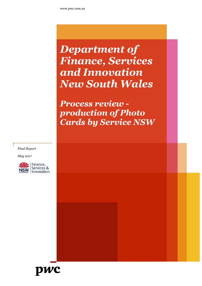## *Department of Finance, Services and Innovation New South Wales*

*Process review production of Photo Cards by Service NSW*

*Final Report*

*May 2017*



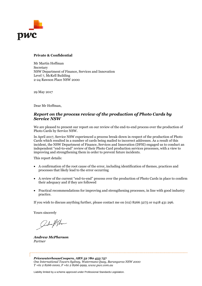

#### **Private & Confidential**

Mr Martin Hoffman Secretary NSW Department of Finance, Services and Innovation Level 7, McKell Building 2-24 Rawson Place NSW 2000

29 May 2017

Dear Mr Hoffman,

#### *Report on the process review of the production of Photo Cards by Service NSW*

We are pleased to present our report on our review of the end-to-end process over the production of Photo Cards by Service NSW.

In April 2017, Service NSW experienced a process break-down in respect of the production of Photo Cards which resulted in a number of cards being mailed to incorrect addresses. As a result of this incident, the NSW Department of Finance, Services and Innovation (DFSI) engaged us to conduct an independent "end-to-end" review of their Photo Card production services processes, with a view to improving and strengthening them in order to prevent future incidents.

This report details:

- A confirmation of the root cause of the error, including identification of themes, practices and processes that likely lead to the error occurring
- A review of the current "end-to-end" process over the production of Photo Cards in place to confirm their adequacy and if they are followed
- Practical recommendations for improving and strengthening processes, in line with good industry practice.

If you wish to discuss anything further, please contact me on (02) 8266 3275 or 0418 431 296.

Yours sincerely

adm / Phone

*Andrew McPherson Partner*

*PricewaterhouseCoopers, ABN 52 780 433 757 One International Towers Sydney, Watermans Quay, Barangaroo NSW 2000 T +61 2 8266 0000, F +61 2 8266 9999, www.pwc.com.au*

Liability limited by a scheme approved under Professional Standards Legislation.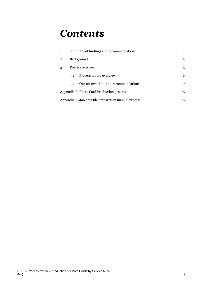## *Contents*

|                                                     |                  | Summary of findings and recommendations |    |
|-----------------------------------------------------|------------------|-----------------------------------------|----|
| 2                                                   | Background       |                                         | 3  |
| 3                                                   | Process overview |                                         | 5  |
|                                                     | 3.1              | Process failure overview                | 6  |
|                                                     | 3.2              | Our observations and recommendations    |    |
| Appendix A Photo Card Production process            |                  | 15                                      |    |
| Appendix B Job data file preparation manual process |                  |                                         | 16 |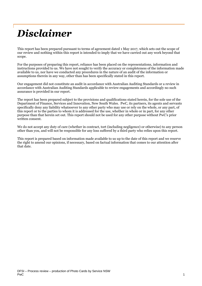# *Disclaimer*

This report has been prepared pursuant to terms of agreement dated 1 May 2017, which sets out the scope of our review and nothing within this report is intended to imply that we have carried out any work beyond that scope.

For the purposes of preparing this report, reliance has been placed on the representations, information and instructions provided to us. We have not sought to verify the accuracy or completeness of the information made available to us, nor have we conducted any procedures in the nature of an audit of the information or assumptions therein in any way, other than has been specifically stated in this report.

Our engagement did not constitute an audit in accordance with Australian Auditing Standards or a review in accordance with Australian Auditing Standards applicable to review engagements and accordingly no such assurance is provided in our report.

The report has been prepared subject to the provisions and qualifications stated herein, for the sole use of the Department of Finance, Services and Innovation, New South Wales. PwC, its partners, its agents and servants specifically deny any liability whatsoever to any other party who may use or rely on the whole, or any part, of this report or to the parties to whom it is addressed for the use, whether in whole or in part, for any other purpose than that herein set out. This report should not be used for any other purpose without PwC's prior written consent.

We do not accept any duty of care (whether in contract, tort (including negligence) or otherwise) to any person other than you, and will not be responsible for any loss suffered by a third party who relies upon this report.

This report is prepared based on information made available to us up to the date of this report and we reserve the right to amend our opinions, if necessary, based on factual information that comes to our attention after that date.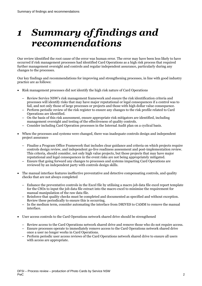### *1 Summary of findings and recommendations*

Our review identified the root cause of the error was human error. The error may have been less likely to have occurred if risk management processes had identified Card Operations as a high risk process that required further management oversight and controls and regular independent assurance, particularly during any changes to the processes.

Our key findings and recommendations for improving and strengthening processes, in line with good industry practice are as follows:

- Risk management processes did not identify the high risk nature of Card Operations
	- Review Service NSW's risk management framework and ensure the risk identification criteria and processes will identify risks that may have major reputational or legal consequences if a control was to fail, and not only those of large processes or projects and those with high dollar value consequence.
	- Perform periodic review of the risk register to ensure any changes to the risk profile related to Card Operations are identified.
	- On the basis of this risk assessment, ensure appropriate risk mitigators are identified, including management oversight and testing of the effectiveness of quality controls.
	- Consider including Card Operation processes in the Internal Audit plan on a cyclical basis.
- When the processes and systems were changed, there was inadequate controls design and independent project assurance
	- Finalise a Program Office Framework that includes clear guidance and criteria on which projects require controls design review, and independent go-live readiness assessment and post-implementation review. This criteria, should consider, not only high value projects, but those projects that may have major reputational and legal consequences in the event risks are not being appropriately mitigated.
	- Ensure that going forward any changes to processes and systems impacting Card Operations are reviewed by an independent party with controls design skills.
- The manual interface features ineffective preventative and detective compensating controls, and quality checks that are not always completed
	- Enhance the preventative controls in the Excel file by utilising a macro job data file excel report template for the CSOs to input the job data file extract into the macro excel to minimise the requirement for manual manipulation of the raw data file.
	- Reinforce that quality checks must be completed and documented as specified and without exception. Review these periodically to ensure this is occurring.
	- In the medium term, consider automating the interface from DRIVES to CAMM to remove the manual interface.
- User access controls to the Card Operations network shared drive should be strengthened
	- Review access to the Card Operations network shared drive and remove those who do not require access.
	- Ensure processes operate to immediately remove access to the Card Operations network shared drive once a user no longer works in Card Operations.
	- Perform periodic user access reviews of the Card Operations network shared drive to ensure all users with access are appropriate.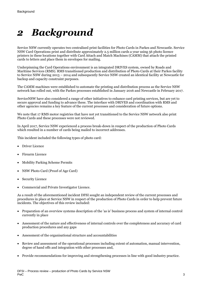### *2 Background*

Service NSW currently operates two centralised print facilities for Photo Cards in Parkes and Newcastle. Service NSW Card Operations print and distribute approximately 2.5 million cards a year using 56 photo licence printers in these locations together with Card Attach and Match Machines (CAMM) that attach the printed cards to letters and place them in envelopes for mailing.

Underpinning the Card Operations environment is an integrated DRIVES system, owned by Roads and Maritime Services (RMS). RMS transitioned production and distribution of Photo Cards at their Parkes facility to Service NSW during 2013 – 2014 and subsequently Service NSW created an identical facility at Newcastle for backup and capacity constraint purposes.

The CAMM machines were established to automate the printing and distribution process as the Service NSW network has rolled out, with the Parkes processes established in January 2016 and Newcastle in February 2017.

ServiceNSW have also considered a range of other initiatives to enhance card printing services, but are yet to secure approval and funding to advance these. The interface with DRIVES and coordination with RMS and other agencies remains a key feature of the current processes and consideration of future options.

We note that 17 RMS motor registries that have not yet transitioned to the Service NSW network also print Photo Cards and these processes were not reviewed.

In April 2017, Service NSW experienced a process break-down in respect of the production of Photo Cards which resulted in a number of cards being mailed to incorrect addresses.

This incident included the following types of photo card:

- Driver Licence
- Firearm Licence
- Mobility Parking Scheme Permits
- NSW Photo Card (Proof of Age Card)
- Security Licence
- Commercial and Private Investigator Licence.

As a result of the aforementioned incident DFSI sought an independent review of the current processes and procedures in place at Service NSW in respect of the production of Photo Cards in order to help prevent future incidents. The objectives of this review included:

- Preparation of an overview systems description of the 'as is' business process and system of internal control currently in place
- Assessment of the nature and effectiveness of internal controls over the completeness and accuracy of card production procedures and any gaps
- Assessment of the organisational structure and accountabilities
- Review and assessment of the operational processes including extent of automation, manual intervention, degree of hand offs and integration with other processes and,
- Provide recommendations for improving and strengthening processes in line with good industry practice.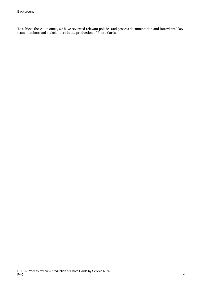To achieve these outcomes, we have reviewed relevant policies and process documentation and interviewed key team members and stakeholders in the production of Photo Cards.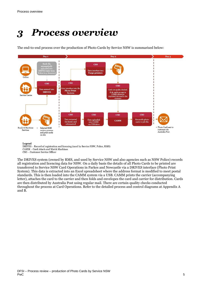## *3 Process overview*

The end-to-end process over the production of Photo Cards by Service NSW is summarised below:



Legend

DRIVES - Record of registration and licensing (used by Service NSW, Police, RMS) CAMM - Card Attach and Match Machines CSO - Customer Service Officer

The DRIVES system (owned by RMS, and used by Service NSW and also agencies such as NSW Police) records all registration and licencing data for NSW. On a daily basis the details of all Photo Cards to be printed are transferred to Service NSW Card Operations in Parkes and Newcastle via a DRIVES interface (Photo Print System). This data is extracted into an Excel spreadsheet where the address format is modified to meet postal standards. This is then loaded into the CAMM system via a USB. CAMM prints the carrier (accompanying letter), attaches the card to the carrier and then folds and envelopes the card and carrier for distribution. Cards are then distributed by Australia Post using regular mail. There are certain quality checks conducted throughout the process at Card Operations. Refer to the detailed process and control diagrams at Appendix A and B.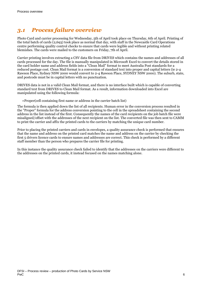### *3.1 Process failure overview*

Photo Card and carrier processing for Wednesday, 5th of April took place on Thursday, 6th of April. Printing of the total batch of cards (2,693) took place as normal that day, with staff in the Newcastle Card Operations centre performing quality control checks to ensure that cards were legible and without printing related blemishes. The cards were mailed to the customers on Friday, 7th of April.

Carrier printing involves extracting a CSV data file from DRIVES which contains the names and addresses of all cards processed for the day. The file is manually manipulated in Microsoft Excel to convert the details stored in the card holder name and address fields into a "Clean Mail" format to meet Australia Post standards for a reduced postage cost. Clean Mail format is a conversion of standard text into proper and capital letters (ie 2-4 Rawson Place, Sydney NSW 2000 would convert to 2-4 Rawson Place, SYDNEY NSW 2000). The suburb, state, and postcode must be in capital letters with no punctuation.

DRIVES data is not in a valid Clean Mail format, and there is no interface built which is capable of converting standard text from DRIVES to Clean Mail format. As a result, information downloaded into Excel are manipulated using the following formula:

=Proper(cell containing first name or address in the carrier batch list)

The formula is then applied down the list of all recipients. Human error in the conversion process resulted in the "Proper" formula for the address conversion pointing to the cell in the spreadsheet containing the second address in the list instead of the first. Consequently the names of the card recipients on the job batch file were misaligned/offset with the addresses of the next recipient on the list. The converted file was then sent to CAMM to print the carrier and affix the printed cards to the carriers by matching the unique card number.

Prior to placing the printed carriers and cards in envelopes, a quality assurance check is performed that ensures that the name and address on the printed card matches the name and address on the carrier by checking the first 5 drivers licence cards to ensure names and addresses are correct. This check is performed by a different staff member than the person who prepares the carrier file for printing.

In this instance the quality assurance check failed to identify that the addresses on the carriers were different to the addresses on the printed cards, it instead focused on the names matching alone.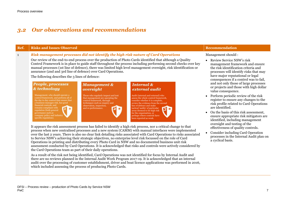### *3.2 Our observations and recommendations*

#### **Ref. Risks and Issues Observed Recommendation**

#### 1 *Risk management processes did not identify the high risk nature of Card Operations*

Our review of the end-to-end process over the production of Photo Cards identified that although a Quality Control Framework is in place to guide staff throughout the process including performing second checks over key manual processes (1st line of defence), there was limited high level management oversight, risk identification or assurance (2nd and 3rd line of defence) over Card Operations.

The following describes the 3 lines of defence:

#### People, processes & technology

Management, who should operate a control framework, and perform all of the day to day control that ensure that a business manages risk, has good financial controls, and remains compliant with regulation (both general governance such as company policy and industry specific regulation).

#### **Management &** oversight Those who regularly inspect and test

that management are operating the control framework, through techniques such as enquiry and observation, inspection, and re-performance.

### **Internal &** external audit

Audit (internal and external) who assess the whole control framework, consider whether it is complete, review the evidence from the second line of defence and make tactical 'audits' of particular areas deemed to be high risk for the organisation, or perhaps where controls have been reported as weak.

It appears the risk assessment process has failed to identify a high risk process, nor a critical change to that process when new centralised processes and a new system (CAMM) with manual interfaces were implemented over the last 2 years. There is also no clear link detailing risks associated with Card Operations to risks associated to Service NSW's achieving their strategic objectives, no enterprise level risk focussed on the role of Card Operations in printing and distributing every Photo Card in NSW and no documented business unit risk assessment conducted by Card Operations. It is acknowledged that risks and controls were actively considered by the Card Operations team as part of their daily operations.

As a result of the risk not being identified, Card Operations was not identified for focus by Internal Audit and there are no reviews planned in the Internal Audit Work Program 2017-19. It is acknowledged that an internal audit over the processing of customer establishment, driver and boat licence applications was performed in 2016, which included assessing the process of producing Photo Cards.

Management should :

- Review Service NSW's risk management framework and ensure the risk identification criteria and processes will identify risks that may have major reputational or legal consequences if a control was to fail, and not only those of large processes or projects and those with high dollar value consequence.
- Perform periodic review of the risk register to ensure any changes to the risk profile related to Card Operations are identified.
- On the basis of this risk assessment, ensure appropriate risk mitigators are identified, including management oversight and testing of the effectiveness of quality controls.
- Consider including Card Operation processes in the Internal Audit plan on a cyclical basis.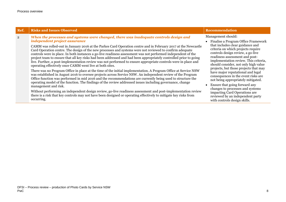L

| Ref.           | <b>Risks and Issues Observed</b>                                                                                                                                                                                                                                                                                                                                                                                                                                                                                                                                                                                                                                                                                                                                                                                                                                                                                                                                                                                                                                                                                                                                                                                                                                                                                                                                                                                                                                                                                | <b>Recommendation</b>                                                                                                                                                                                                                                                                                                                                                                                                                                                                                                                                                                                                              |
|----------------|-----------------------------------------------------------------------------------------------------------------------------------------------------------------------------------------------------------------------------------------------------------------------------------------------------------------------------------------------------------------------------------------------------------------------------------------------------------------------------------------------------------------------------------------------------------------------------------------------------------------------------------------------------------------------------------------------------------------------------------------------------------------------------------------------------------------------------------------------------------------------------------------------------------------------------------------------------------------------------------------------------------------------------------------------------------------------------------------------------------------------------------------------------------------------------------------------------------------------------------------------------------------------------------------------------------------------------------------------------------------------------------------------------------------------------------------------------------------------------------------------------------------|------------------------------------------------------------------------------------------------------------------------------------------------------------------------------------------------------------------------------------------------------------------------------------------------------------------------------------------------------------------------------------------------------------------------------------------------------------------------------------------------------------------------------------------------------------------------------------------------------------------------------------|
| $\overline{2}$ | When the processes and systems were changed, there was inadequate controls design and<br>independent project assurance<br>CAMM was rolled-out in January 2016 at the Parkes Card Operation centre and in February 2017 at the Newcastle<br>Card Operation centre. The design of the new processes and systems were not reviewed to confirm adequate<br>controls were in place. In both instances a go-live readiness assessment was not performed independent of the<br>project team to ensure that all key risks had been addressed and had been appropriately controlled prior to going<br>live. Further, a post-implementation review was not performed to ensure appropriate controls were in place and<br>operating effectively once CAMM went live at both sites.<br>There was no Program Office in place at the time of the initial implementation. A Program Office at Service NSW<br>was established in August 2016 to oversee projects across Service NSW. An independent review of the Program<br>Office function was performed in mid 2016 and the recommendations are currently being used to structure the<br>operating model of the function. The findings of the review addressed issues including governance, change<br>management and risk.<br>Without performing an independent design review, go-live readiness assessment and post-implementation review<br>there is a risk that key controls may not have been designed or operating effectively to mitigate key risks from<br>occurring. | Management should:<br>• Finalise a Program Office Framework<br>that includes clear guidance and<br>criteria on which projects require<br>controls design review, a go-live<br>readiness assessment and post-<br>implementation review. This criteria,<br>should consider, not only high value<br>projects, but those projects that may<br>have major reputational and legal<br>consequences in the event risks are<br>not being appropriately mitigated.<br>Ensure that going forward any<br>changes to processes and systems<br>impacting Card Operations are<br>reviewed by an independent party<br>with controls design skills. |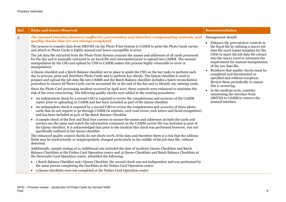| The manual interface features ineffective preventative and detective compensating controls, and<br>Management should:<br>3<br>quality checks that are not always completed<br>• Enhance the preventative controls in<br>The process to transfer data from DRIVES via the Photo Print System to CAMM to print the Photo Cards carrier<br>the Excel file by utilising a macro job<br>and attach to Photo Cards is highly manual and hence susceptible to error.<br>data file excel report template for the<br>CSOs to input the job data file extract<br>The job data file extracted from the Photo Print System contains the names and addresses of all cards processed<br>into the macro excel to minimise the<br>for the day and is manually extracted to an Excel file and reformatted prior to upload into CAMM. The manual<br>requirement for manual manipulation<br>manipulation by the CSO and upload by USB to CAMM makes this process highly vulnerable to error or<br>of the raw data file.<br>manipulation.<br>Reinforce that quality checks must be<br>$\bullet$<br>A Queue checklist and a Batch Balance checklist are in place to guide the CSO on the key tasks to perform each<br>completed and documented as<br>day to process, print and distribute Photo Cards and to perform key checks. The Queue checklist is used to<br>specified and without exception.<br>prepare and upload the job data file into CAMM and the Batch Balance checklist includes a batch reconciliation<br>Review these periodically to ensure<br>procedure to ensure all Photo Cards can be accounted for at the end of the day and to identify any missing cards.<br>this is occurring.<br>Since the Photo Card processing incident occurred in April 2017, these controls were enhanced to minimise the<br>In the medium term, consider<br>$\bullet$<br>risk of the error reoccurring. The following quality checks were added to the existing procedures:<br>automating the interface from<br>DRIVES to CAMM to remove the<br>• An independent check by a second CSO is required to review the completeness and accuracy of the CAMM<br>manual interface.<br>report prior to uploading in CAMM and has been included as part of the Queue checklist.<br>• An independent check is required by a second CSO to review the completeness and accuracy of those photo<br>cards that do not require to go through CAMM (ie reprints, card read errors, tech letters and facial recognition)<br>and has been included as part of the Batch Balance Checklist.<br>A sample check of the first and final four carriers to ensure the names and addresses on both the cards and<br>carriers are the same and match the information contained on the CAMM carrier file was included as part of<br>the Queue checklist. It is acknowledged that prior to the incident this check was performed however, was not<br>specifically outlined in the Queue checklist.<br>The enhanced quality control checks do not check 100% of the data and therefore there is a risk that the address<br>fields may be inadvertently or inappropriately changed particularly in the middle of the job data file, without<br>detection.<br>Additionally, sample testing of 21 (additional one included the date of incident) Queue Checklists and Batch<br>Balance Checklists at the Parkes Card Operation centre and 15 Queue Checklists and Batch Balance Checklists at<br>the Newcastle Card Operation centre, identified the following:<br>• 1 Batch Balance Checklist and 1 Queue Checklist, the second check was not independent and was performed by<br>the same person completing the checklists at the Parkes Card Operation centre<br>3 Queue checklists were not completed at the Parkes Card Operation centre |
|-------------------------------------------------------------------------------------------------------------------------------------------------------------------------------------------------------------------------------------------------------------------------------------------------------------------------------------------------------------------------------------------------------------------------------------------------------------------------------------------------------------------------------------------------------------------------------------------------------------------------------------------------------------------------------------------------------------------------------------------------------------------------------------------------------------------------------------------------------------------------------------------------------------------------------------------------------------------------------------------------------------------------------------------------------------------------------------------------------------------------------------------------------------------------------------------------------------------------------------------------------------------------------------------------------------------------------------------------------------------------------------------------------------------------------------------------------------------------------------------------------------------------------------------------------------------------------------------------------------------------------------------------------------------------------------------------------------------------------------------------------------------------------------------------------------------------------------------------------------------------------------------------------------------------------------------------------------------------------------------------------------------------------------------------------------------------------------------------------------------------------------------------------------------------------------------------------------------------------------------------------------------------------------------------------------------------------------------------------------------------------------------------------------------------------------------------------------------------------------------------------------------------------------------------------------------------------------------------------------------------------------------------------------------------------------------------------------------------------------------------------------------------------------------------------------------------------------------------------------------------------------------------------------------------------------------------------------------------------------------------------------------------------------------------------------------------------------------------------------------------------------------------------------------------------------------------------------------------------------------------------------------------------------------------------------------------------------------------------------------------------------------------------------------------------------------------------------------------------------------------------------------------------------------------------------------------------------------------------------------------------------------------------------------------------------------------------------------------------------------------------------------------------------------|
|                                                                                                                                                                                                                                                                                                                                                                                                                                                                                                                                                                                                                                                                                                                                                                                                                                                                                                                                                                                                                                                                                                                                                                                                                                                                                                                                                                                                                                                                                                                                                                                                                                                                                                                                                                                                                                                                                                                                                                                                                                                                                                                                                                                                                                                                                                                                                                                                                                                                                                                                                                                                                                                                                                                                                                                                                                                                                                                                                                                                                                                                                                                                                                                                                                                                                                                                                                                                                                                                                                                                                                                                                                                                                                                                                                                           |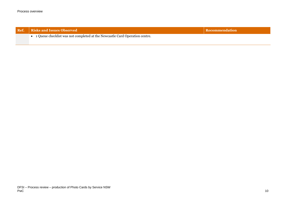| Ref. | <b>N</b> Risks and Issues Observed                                          | ecommendation' |
|------|-----------------------------------------------------------------------------|----------------|
|      | 1 Queue checklist was not completed at the Newcastle Card Operation centre. |                |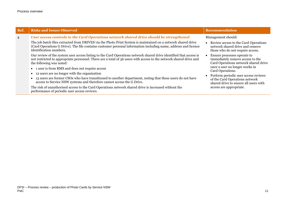| Ref.           | <b>Risks and Issues Observed</b>                                                                                                                                                                                                                                                                                                                                                                                                                                                                                                                                                                                                                                                                                                                                                                                                                                                                                                                                                                                                                                                             | <b>Recommendation</b>                                                                                                                                                                                                                                                                                                                                                                                                                              |
|----------------|----------------------------------------------------------------------------------------------------------------------------------------------------------------------------------------------------------------------------------------------------------------------------------------------------------------------------------------------------------------------------------------------------------------------------------------------------------------------------------------------------------------------------------------------------------------------------------------------------------------------------------------------------------------------------------------------------------------------------------------------------------------------------------------------------------------------------------------------------------------------------------------------------------------------------------------------------------------------------------------------------------------------------------------------------------------------------------------------|----------------------------------------------------------------------------------------------------------------------------------------------------------------------------------------------------------------------------------------------------------------------------------------------------------------------------------------------------------------------------------------------------------------------------------------------------|
| $\overline{4}$ | User access controls to the Card Operations network shared drive should be strengthened<br>The job batch files extracted from DRIVES via the Photo Print System is maintained on a network shared drive<br>(Card Operations G Drive). The file contains customer personal information including name, address and licence<br>identification numbers.<br>Our review of the system user access listing to the Card Operations network shared drive identified that access is<br>not restricted to appropriate personnel. There are a total of 36 users with access to the network shared drive and<br>the following was noted:<br>• 1 user is from RMS and does not require access<br>12 users are no longer with the organisation<br>$\bullet$<br>13 users are former CSOs who have transitioned to another department, noting that these users do not have<br>access to Service NSW systems and therefore cannot access the G Drive.<br>The risk of unauthorised access to the Card Operations network shared drive is increased without the<br>performance of periodic user access reviews. | Management should:<br>• Review access to the Card Operations<br>network shared drive and remove<br>those who do not require access.<br>Ensure processes operate to<br>immediately remove access to the<br>Card Operations network shared drive<br>once a user no longer works in<br>Card Operations.<br>Perform periodic user access reviews<br>of the Card Operations network<br>shared drive to ensure all users with<br>access are appropriate. |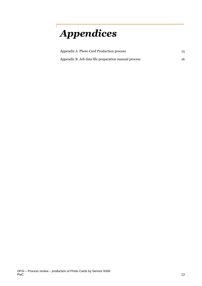# *Appendices*

| Appendix A Photo Card Production process            | 15. |
|-----------------------------------------------------|-----|
| Appendix B Job data file preparation manual process | 16. |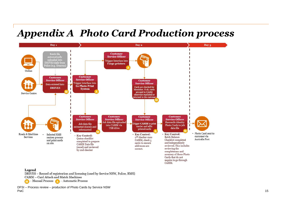### *Appendix A Photo Card Production process*



#### Legend

DRIVES - Record of registration and licensing (used by Service NSW, Police, RMS)

CAMM - Card Attach and Match Machines

- Manual Process A - Automatic Process

DFSI – Process review – production of Photo Cards by Service NSW PwC and the contract of the contract of the contract of the contract of the contract of the contract of the contract of the contract of the contract of the contract of the contract of the contract of the contract of the co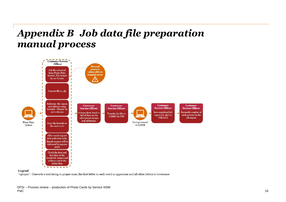### *Appendix B Job data file preparation manual process*



#### Legend

'=proper' - Converts a text string to proper case; the first letter in each word in uppercase and all other letters to lowercase